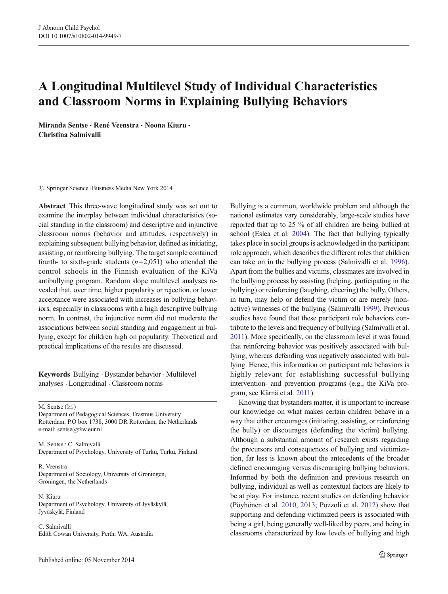# A Longitudinal Multilevel Study of Individual Characteristics and Classroom Norms in Explaining Bullying Behaviors

Miranda Sentse • René Veenstra • Noona Kiuru • Christina Salmivalli

#### $\circled{c}$  Springer Science+Business Media New York 2014

Abstract This three-wave longitudinal study was set out to examine the interplay between individual characteristics (social standing in the classroom) and descriptive and injunctive classroom norms (behavior and attitudes, respectively) in explaining subsequent bullying behavior, defined as initiating, assisting, or reinforcing bullying. The target sample contained fourth- to sixth-grade students  $(n=2,051)$  who attended the control schools in the Finnish evaluation of the KiVa antibullying program. Random slope multilevel analyses revealed that, over time, higher popularity or rejection, or lower acceptance were associated with increases in bullying behaviors, especially in classrooms with a high descriptive bullying norm. In contrast, the injunctive norm did not moderate the associations between social standing and engagement in bullying, except for children high on popularity. Theoretical and practical implications of the results are discussed.

Keywords Bullying . Bystander behavior . Multilevel analyses . Longitudinal . Classroom norms

M. Sentse  $(\boxtimes)$ 

Department of Pedagogical Sciences, Erasmus University Rotterdam, P.O box 1738, 3000 DR Rotterdam, the Netherlands e-mail: sentse@fsw.eur.nl

M. Sentse : C. Salmivalli Department of Psychology, University of Turku, Turku, Finland

R. Veenstra Department of Sociology, University of Groningen, Groningen, the Netherlands

N. Kiuru Department of Psychology, University of Jyväskylä, Jyväskylä, Finland

C. Salmivalli Edith Cowan University, Perth, WA, Australia Bullying is a common, worldwide problem and although the national estimates vary considerably, large-scale studies have reported that up to 25 % of all children are being bullied at school (Eslea et al. [2004\)](#page-11-0). The fact that bullying typically takes place in social groups is acknowledged in the participant role approach, which describes the different roles that children can take on in the bullying process (Salmivalli et al. [1996\)](#page-12-0). Apart from the bullies and victims, classmates are involved in the bullying process by assisting (helping, participating in the bullying) or reinforcing (laughing, cheering) the bully. Others, in turn, may help or defend the victim or are merely (nonactive) witnesses of the bullying (Salmivalli [1999\)](#page-11-0). Previous studies have found that these participant role behaviors contribute to the levels and frequency of bullying (Salmivalli et al. [2011](#page-12-0)). More specifically, on the classroom level it was found that reinforcing behavior was positively associated with bullying, whereas defending was negatively associated with bullying. Hence, this information on participant role behaviors is highly relevant for establishing successful bullying intervention- and prevention programs (e.g., the KiVa program, see Kärnä et al. [2011](#page-11-0)).

Knowing that bystanders matter, it is important to increase our knowledge on what makes certain children behave in a way that either encourages (initiating, assisting, or reinforcing the bully) or discourages (defending the victim) bullying. Although a substantial amount of research exists regarding the precursors and consequences of bullying and victimization, far less is known about the antecedents of the broader defined encouraging versus discouraging bullying behaviors. Informed by both the definition and previous research on bullying, individual as well as contextual factors are likely to be at play. For instance, recent studies on defending behavior (Pöyhönen et al. [2010,](#page-11-0) [2013](#page-11-0); Pozzoli et al. [2012](#page-11-0)) show that supporting and defending victimized peers is associated with being a girl, being generally well-liked by peers, and being in classrooms characterized by low levels of bullying and high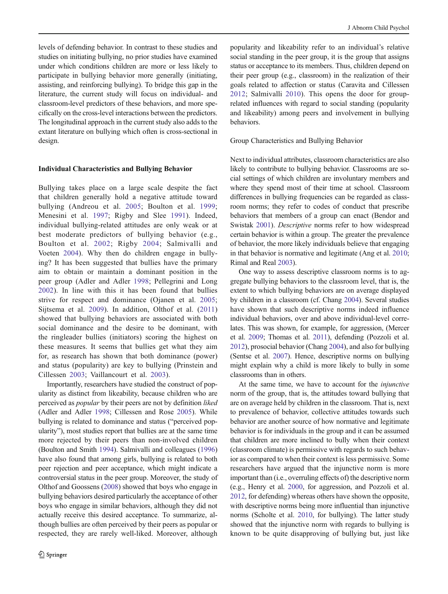levels of defending behavior. In contrast to these studies and studies on initiating bullying, no prior studies have examined under which conditions children are more or less likely to participate in bullying behavior more generally (initiating, assisting, and reinforcing bullying). To bridge this gap in the literature, the current study will focus on individual- and classroom-level predictors of these behaviors, and more specifically on the cross-level interactions between the predictors. The longitudinal approach in the current study also adds to the extant literature on bullying which often is cross-sectional in design.

#### Individual Characteristics and Bullying Behavior

Bullying takes place on a large scale despite the fact that children generally hold a negative attitude toward bullying (Andreou et al. [2005;](#page-11-0) Boulton et al. [1999](#page-11-0); Menesini et al. [1997;](#page-11-0) Rigby and Slee [1991](#page-11-0)). Indeed, individual bullying-related attitudes are only weak or at best moderate predictors of bullying behavior (e.g., Boulton et al. [2002](#page-11-0); Rigby [2004](#page-11-0); Salmivalli and Voeten [2004\)](#page-12-0). Why then do children engage in bullying? It has been suggested that bullies have the primary aim to obtain or maintain a dominant position in the peer group (Adler and Adler [1998](#page-11-0); Pellegrini and Long [2002](#page-11-0)). In line with this it has been found that bullies strive for respect and dominance (Ojanen et al. [2005](#page-11-0); Sijtsema et al. [2009](#page-12-0)). In addition, Olthof et al. ([2011\)](#page-11-0) showed that bullying behaviors are associated with both social dominance and the desire to be dominant, with the ringleader bullies (initiators) scoring the highest on these measures. It seems that bullies get what they aim for, as research has shown that both dominance (power) and status (popularity) are key to bullying (Prinstein and Cillessen [2003;](#page-11-0) Vaillancourt et al. [2003\)](#page-12-0).

Importantly, researchers have studied the construct of popularity as distinct from likeability, because children who are perceived as popular by their peers are not by definition liked (Adler and Adler [1998;](#page-11-0) Cillessen and Rose [2005](#page-11-0)). While bullying is related to dominance and status ("perceived popularity"), most studies report that bullies are at the same time more rejected by their peers than non-involved children (Boulton and Smith [1994](#page-11-0)). Salmivalli and colleagues [\(1996\)](#page-12-0) have also found that among girls, bullying is related to both peer rejection and peer acceptance, which might indicate a controversial status in the peer group. Moreover, the study of Olthof and Goossens ([2008](#page-11-0)) showed that boys who engage in bullying behaviors desired particularly the acceptance of other boys who engage in similar behaviors, although they did not actually receive this desired acceptance. To summarize, although bullies are often perceived by their peers as popular or respected, they are rarely well-liked. Moreover, although

popularity and likeability refer to an individual's relative social standing in the peer group, it is the group that assigns status or acceptance to its members. Thus, children depend on their peer group (e.g., classroom) in the realization of their goals related to affection or status (Caravita and Cillessen [2012;](#page-11-0) Salmivalli [2010](#page-11-0)). This opens the door for grouprelated influences with regard to social standing (popularity and likeability) among peers and involvement in bullying behaviors.

Group Characteristics and Bullying Behavior

Next to individual attributes, classroom characteristics are also likely to contribute to bullying behavior. Classrooms are social settings of which children are involuntary members and where they spend most of their time at school. Classroom differences in bullying frequencies can be regarded as classroom norms; they refer to codes of conduct that prescribe behaviors that members of a group can enact (Bendor and Swistak [2001](#page-11-0)). Descriptive norms refer to how widespread certain behavior is within a group. The greater the prevalence of behavior, the more likely individuals believe that engaging in that behavior is normative and legitimate (Ang et al. [2010;](#page-11-0) Rimal and Real [2003](#page-11-0)).

One way to assess descriptive classroom norms is to aggregate bullying behaviors to the classroom level, that is, the extent to which bullying behaviors are on average displayed by children in a classroom (cf. Chang [2004](#page-11-0)). Several studies have shown that such descriptive norms indeed influence individual behaviors, over and above individual-level correlates. This was shown, for example, for aggression, (Mercer et al. [2009;](#page-11-0) Thomas et al. [2011\)](#page-12-0), defending (Pozzoli et al. [2012\)](#page-11-0), prosocial behavior (Chang [2004](#page-11-0)), and also for bullying (Sentse et al. [2007](#page-12-0)). Hence, descriptive norms on bullying might explain why a child is more likely to bully in some classrooms than in others.

At the same time, we have to account for the injunctive norm of the group, that is, the attitudes toward bullying that are on average held by children in the classroom. That is, next to prevalence of behavior, collective attitudes towards such behavior are another source of how normative and legitimate behavior is for individuals in the group and it can be assumed that children are more inclined to bully when their context (classroom climate) is permissive with regards to such behavior as compared to when their context is less permissive. Some researchers have argued that the injunctive norm is more important than (i.e., overruling effects of) the descriptive norm (e.g., Henry et al. [2000](#page-11-0), for aggression, and Pozzoli et al. [2012,](#page-11-0) for defending) whereas others have shown the opposite, with descriptive norms being more influential than injunctive norms (Scholte et al. [2010,](#page-12-0) for bullying). The latter study showed that the injunctive norm with regards to bullying is known to be quite disapproving of bullying but, just like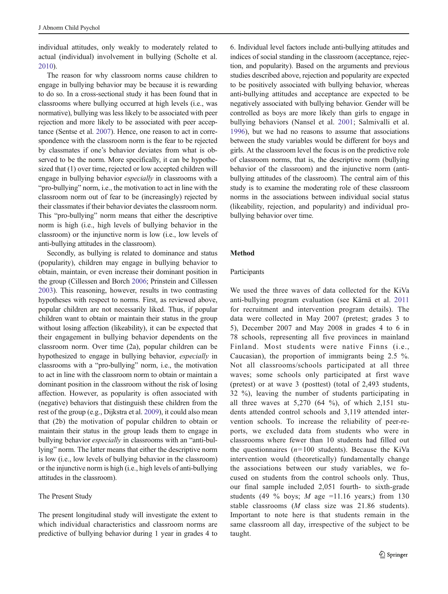individual attitudes, only weakly to moderately related to actual (individual) involvement in bullying (Scholte et al. [2010\)](#page-12-0).

The reason for why classroom norms cause children to engage in bullying behavior may be because it is rewarding to do so. In a cross-sectional study it has been found that in classrooms where bullying occurred at high levels (i.e., was normative), bullying was less likely to be associated with peer rejection and more likely to be associated with peer acceptance (Sentse et al. [2007](#page-12-0)). Hence, one reason to act in correspondence with the classroom norm is the fear to be rejected by classmates if one's behavior deviates from what is observed to be the norm. More specifically, it can be hypothesized that (1) over time, rejected or low accepted children will engage in bullying behavior especially in classrooms with a "pro-bullying" norm, i.e., the motivation to act in line with the classroom norm out of fear to be (increasingly) rejected by their classmates if their behavior deviates the classroom norm. This "pro-bullying" norm means that either the descriptive norm is high (i.e., high levels of bullying behavior in the classroom) or the injunctive norm is low (i.e., low levels of anti-bullying attitudes in the classroom).

Secondly, as bullying is related to dominance and status (popularity), children may engage in bullying behavior to obtain, maintain, or even increase their dominant position in the group (Cillessen and Borch [2006;](#page-11-0) Prinstein and Cillessen [2003\)](#page-11-0). This reasoning, however, results in two contrasting hypotheses with respect to norms. First, as reviewed above, popular children are not necessarily liked. Thus, if popular children want to obtain or maintain their status in the group without losing affection (likeability), it can be expected that their engagement in bullying behavior dependents on the classroom norm. Over time (2a), popular children can be hypothesized to engage in bullying behavior, especially in classrooms with a "pro-bullying" norm, i.e., the motivation to act in line with the classroom norm to obtain or maintain a dominant position in the classroom without the risk of losing affection. However, as popularity is often associated with (negative) behaviors that distinguish these children from the rest of the group (e.g., Dijkstra et al. [2009](#page-11-0)), it could also mean that (2b) the motivation of popular children to obtain or maintain their status in the group leads them to engage in bullying behavior *especially* in classrooms with an "anti-bullying" norm. The latter means that either the descriptive norm is low (i.e., low levels of bullying behavior in the classroom) or the injunctive norm is high (i.e., high levels of anti-bullying attitudes in the classroom).

### The Present Study

The present longitudinal study will investigate the extent to which individual characteristics and classroom norms are predictive of bullying behavior during 1 year in grades 4 to

6. Individual level factors include anti-bullying attitudes and indices of social standing in the classroom (acceptance, rejection, and popularity). Based on the arguments and previous studies described above, rejection and popularity are expected to be positively associated with bullying behavior, whereas anti-bullying attitudes and acceptance are expected to be negatively associated with bullying behavior. Gender will be controlled as boys are more likely than girls to engage in bullying behaviors (Nansel et al. [2001;](#page-11-0) Salmivalli et al. [1996\)](#page-12-0), but we had no reasons to assume that associations between the study variables would be different for boys and girls. At the classroom level the focus is on the predictive role of classroom norms, that is, the descriptive norm (bullying behavior of the classroom) and the injunctive norm (antibullying attitudes of the classroom). The central aim of this study is to examine the moderating role of these classroom norms in the associations between individual social status (likeability, rejection, and popularity) and individual probullying behavior over time.

## Method

#### Participants

We used the three waves of data collected for the KiVa anti-bullying program evaluation (see Kärnä et al. [2011](#page-11-0) for recruitment and intervention program details). The data were collected in May 2007 (pretest; grades 3 to 5), December 2007 and May 2008 in grades 4 to 6 in 78 schools, representing all five provinces in mainland Finland. Most students were native Finns (i.e., Caucasian), the proportion of immigrants being 2.5 %. Not all classrooms/schools participated at all three waves; some schools only participated at first wave (pretest) or at wave 3 (posttest) (total of 2,493 students, 32 %), leaving the number of students participating in all three waves at  $5,270$  (64 %), of which  $2,151$  students attended control schools and 3,119 attended intervention schools. To increase the reliability of peer-reports, we excluded data from students who were in classrooms where fewer than 10 students had filled out the questionnaires  $(n=100 \text{ students})$ . Because the KiVa intervention would (theoretically) fundamentally change the associations between our study variables, we focused on students from the control schools only. Thus, our final sample included 2,051 fourth- to sixth-grade students (49 % boys; *M* age =11.16 years;) from 130 stable classrooms (M class size was 21.86 students). Important to note here is that students remain in the same classroom all day, irrespective of the subject to be taught.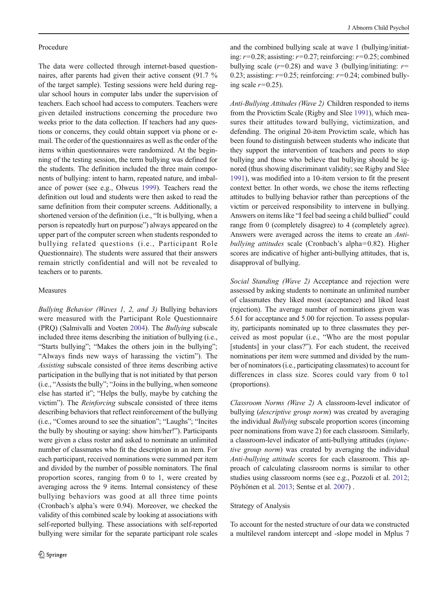### Procedure

The data were collected through internet-based questionnaires, after parents had given their active consent (91.7 % of the target sample). Testing sessions were held during regular school hours in computer labs under the supervision of teachers. Each school had access to computers. Teachers were given detailed instructions concerning the procedure two weeks prior to the data collection. If teachers had any questions or concerns, they could obtain support via phone or email. The order of the questionnaires as well as the order of the items within questionnaires were randomized. At the beginning of the testing session, the term bullying was defined for the students. The definition included the three main components of bullying: intent to harm, repeated nature, and imbalance of power (see e.g., Olweus [1999](#page-11-0)). Teachers read the definition out loud and students were then asked to read the same definition from their computer screens. Additionally, a shortened version of the definition (i.e., "It is bullying, when a person is repeatedly hurt on purpose") always appeared on the upper part of the computer screen when students responded to bullying related questions (i.e., Participant Role Questionnaire). The students were assured that their answers remain strictly confidential and will not be revealed to teachers or to parents.

## Measures

Bullying Behavior (Waves 1, 2, and 3) Bullying behaviors were measured with the Participant Role Questionnaire (PRQ) (Salmivalli and Voeten [2004\)](#page-12-0). The Bullying subscale included three items describing the initiation of bullying (i.e., "Starts bullying"; "Makes the others join in the bullying"; "Always finds new ways of harassing the victim"). The Assisting subscale consisted of three items describing active participation in the bullying that is not initiated by that person (i.e., "Assists the bully"; "Joins in the bullying, when someone else has started it"; "Helps the bully, maybe by catching the victim"). The Reinforcing subscale consisted of three items describing behaviors that reflect reinforcement of the bullying (i.e., "Comes around to see the situation"; "Laughs"; "Incites the bully by shouting or saying: show him/her!"). Participants were given a class roster and asked to nominate an unlimited number of classmates who fit the description in an item. For each participant, received nominations were summed per item and divided by the number of possible nominators. The final proportion scores, ranging from 0 to 1, were created by averaging across the 9 items. Internal consistency of these bullying behaviors was good at all three time points (Cronbach's alpha's were 0.94). Moreover, we checked the validity of this combined scale by looking at associations with self-reported bullying. These associations with self-reported bullying were similar for the separate participant role scales

and the combined bullying scale at wave 1 (bullying/initiating:  $r=0.28$ ; assisting:  $r=0.27$ ; reinforcing:  $r=0.25$ ; combined bullying scale ( $r=0.28$ ) and wave 3 (bullying/initiating:  $r=$ 0.23; assisting:  $r=0.25$ ; reinforcing:  $r=0.24$ ; combined bullying scale  $r=0.25$ ).

Anti-Bullying Attitudes (Wave 2) Children responded to items from the Provictim Scale (Rigby and Slee [1991\)](#page-11-0), which measures their attitudes toward bullying, victimization, and defending. The original 20-item Provictim scale, which has been found to distinguish between students who indicate that they support the intervention of teachers and peers to stop bullying and those who believe that bullying should be ignored (thus showing discriminant validity; see Rigby and Slee [1991\)](#page-11-0), was modified into a 10-item version to fit the present context better. In other words, we chose the items reflecting attitudes to bullying behavior rather than perceptions of the victim or perceived responsibility to intervene in bullying. Answers on items like "I feel bad seeing a child bullied" could range from 0 (completely disagree) to 4 (completely agree). Answers were averaged across the items to create an Antibullying attitudes scale (Cronbach's alpha=0.82). Higher scores are indicative of higher anti-bullying attitudes, that is, disapproval of bullying.

Social Standing (Wave 2) Acceptance and rejection were assessed by asking students to nominate an unlimited number of classmates they liked most (acceptance) and liked least (rejection). The average number of nominations given was 5.61 for acceptance and 5.00 for rejection. To assess popularity, participants nominated up to three classmates they perceived as most popular (i.e., "Who are the most popular [students] in your class?"). For each student, the received nominations per item were summed and divided by the number of nominators (i.e., participating classmates) to account for differences in class size. Scores could vary from 0 to1 (proportions).

Classroom Norms (Wave 2) A classroom-level indicator of bullying *(descriptive group norm)* was created by averaging the individual Bullying subscale proportion scores (incoming peer nominations from wave 2) for each classroom. Similarly, a classroom-level indicator of anti-bullying attitudes (injunctive group norm) was created by averaging the individual Anti-bullying attitude scores for each classroom. This approach of calculating classroom norms is similar to other studies using classroom norms (see e.g., Pozzoli et al. [2012;](#page-11-0) Pöyhönen et al. [2013;](#page-11-0) Sentse et al. [2007](#page-12-0)) .

## Strategy of Analysis

To account for the nested structure of our data we constructed a multilevel random intercept and -slope model in Mplus 7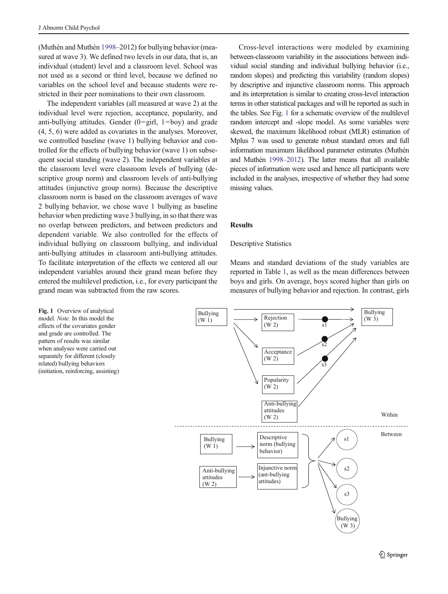(Muthén and Muthén [1998](#page-11-0)–2012) for bullying behavior (measured at wave 3). We defined two levels in our data, that is, an individual (student) level and a classroom level. School was not used as a second or third level, because we defined no variables on the school level and because students were restricted in their peer nominations to their own classroom.

The independent variables (all measured at wave 2) at the individual level were rejection, acceptance, popularity, and anti-bullying attitudes. Gender  $(0=g\text{irl}, 1=boy)$  and grade (4, 5, 6) were added as covariates in the analyses. Moreover, we controlled baseline (wave 1) bullying behavior and controlled for the effects of bullying behavior (wave 1) on subsequent social standing (wave 2). The independent variables at the classroom level were classroom levels of bullying (descriptive group norm) and classroom levels of anti-bullying attitudes (injunctive group norm). Because the descriptive classroom norm is based on the classroom averages of wave 2 bullying behavior, we chose wave 1 bullying as baseline behavior when predicting wave 3 bullying, in so that there was no overlap between predictors, and between predictors and dependent variable. We also controlled for the effects of individual bullying on classroom bullying, and individual anti-bullying attitudes in classroom anti-bullying attitudes. To facilitate interpretation of the effects we centered all our independent variables around their grand mean before they entered the multilevel prediction, i.e., for every participant the grand mean was subtracted from the raw scores.

Fig. 1 Overview of analytical model. Note. In this model the effects of the covariates gender and grade are controlled. The pattern of results was similar when analyses were carried out separately for different (closely related) bullying behaviors (initiation, reinforcing, assisting)

Cross-level interactions were modeled by examining between-classroom variability in the associations between individual social standing and individual bullying behavior (i.e., random slopes) and predicting this variability (random slopes) by descriptive and injunctive classroom norms. This approach and its interpretation is similar to creating cross-level interaction terms in other statistical packages and will be reported as such in the tables. See Fig. 1 for a schematic overview of the multilevel random intercept and -slope model. As some variables were skewed, the maximum likelihood robust (MLR) estimation of Mplus 7 was used to generate robust standard errors and full information maximum likelihood parameter estimates (Muthén and Muthén 1998–[2012](#page-11-0)). The latter means that all available pieces of information were used and hence all participants were included in the analyses, irrespective of whether they had some missing values.

## Results

#### Descriptive Statistics

Means and standard deviations of the study variables are reported in Table [1,](#page-5-0) as well as the mean differences between boys and girls. On average, boys scored higher than girls on measures of bullying behavior and rejection. In contrast, girls

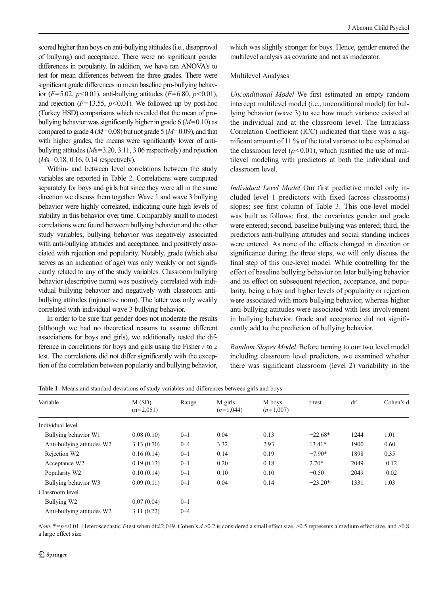<span id="page-5-0"></span>scored higher than boys on anti-bullying attitudes (i.e., disapproval of bullying) and acceptance. There were no significant gender differences in popularity. In addition, we have ran ANOVA's to test for mean differences between the three grades. There were significant grade differences in mean baseline pro-bullying behavior ( $F=5.02$ ,  $p<0.01$ ), anti-bullying attitudes ( $F=6.80$ ,  $p<0.01$ ), and rejection ( $F=13.55$ ,  $p<0.01$ ). We followed up by post-hoc (Turkey HSD) comparisons which revealed that the mean of probullying behavior was significantly higher in grade  $6 (M=0.10)$  as compared to grade 4 ( $M=0.08$ ) but not grade 5 ( $M=0.09$ ), and that with higher grades, the means were significantly lower of antibullying attitudes (Ms=3.20, 3.11, 3.06 respectively) and rejection (Ms=0.18, 0.16, 0.14 respectively).

Within- and between level correlations between the study variables are reported in Table [2.](#page-6-0) Correlations were computed separately for boys and girls but since they were all in the same direction we discuss them together. Wave 1 and wave 3 bullying behavior were highly correlated, indicating quite high levels of stability in this behavior over time. Comparably small to modest correlations were found between bullying behavior and the other study variables; bullying behavior was negatively associated with anti-bullying attitudes and acceptance, and positively associated with rejection and popularity. Notably, grade (which also serves as an indication of age) was only weakly or not significantly related to any of the study variables. Classroom bullying behavior (descriptive norm) was positively correlated with individual bullying behavior and negatively with classroom antibullying attitudes (injunctive norm). The latter was only weakly correlated with individual wave 3 bullying behavior.

In order to be sure that gender does not moderate the results (although we had no theoretical reasons to assume different associations for boys and girls), we additionally tested the difference in correlations for boys and girls using the Fisher  $r$  to  $z$ test. The correlations did not differ significantly with the exception of the correlation between popularity and bullying behavior,

which was slightly stronger for boys. Hence, gender entered the multilevel analysis as covariate and not as moderator.

## Multilevel Analyses

Unconditional Model We first estimated an empty random intercept multilevel model (i.e., unconditional model) for bullying behavior (wave 3) to see how much variance existed at the individual and at the classroom level. The Intraclass Correlation Coefficient (ICC) indicated that there was a significant amount of 11 % of the total variance to be explained at the classroom level  $(p<0.01)$ , which justified the use of multilevel modeling with predictors at both the individual and classroom level.

Individual Level Model Our first predictive model only included level 1 predictors with fixed (across classrooms) slopes; see first column of Table [3.](#page-6-0) This one-level model was built as follows: first, the covariates gender and grade were entered; second, baseline bullying was entered; third, the predictors anti-bullying attitudes and social standing indices were entered. As none of the effects changed in direction or significance during the three steps, we will only discuss the final step of this one-level model. While controlling for the effect of baseline bullying behavior on later bullying behavior and its effect on subsequent rejection, acceptance, and popularity, being a boy and higher levels of popularity or rejection were associated with more bullying behavior, whereas higher anti-bullying attitudes were associated with less involvement in bullying behavior. Grade and acceptance did not significantly add to the prediction of bullying behavior.

Random Slopes Model Before turning to our two level model including classroom level predictors, we examined whether there was significant classroom (level 2) variability in the

| Variable                   | M(SD)<br>$(n=2,051)$ | Range   | M girls<br>$(n=1,044)$ | M boys<br>$(n=1,007)$ | t-test    | df   | Cohen's d |
|----------------------------|----------------------|---------|------------------------|-----------------------|-----------|------|-----------|
|                            |                      |         |                        |                       |           |      |           |
| Individual level           |                      |         |                        |                       |           |      |           |
| Bullying behavior W1       | 0.08(0.10)           | $0 - 1$ | 0.04                   | 0.13                  | $-22.68*$ | 1244 | 1.01      |
| Anti-bullying attitudes W2 | 3.13(0.70)           | $0 - 4$ | 3.32                   | 2.93                  | $13.41*$  | 1900 | 0.60      |
| Rejection W2               | 0.16(0.14)           | $0 - 1$ | 0.14                   | 0.19                  | $-7.90*$  | 1898 | 0.35      |
| Acceptance W <sub>2</sub>  | 0.19(0.13)           | $0 - 1$ | 0.20                   | 0.18                  | $2.70*$   | 2049 | 0.12      |
| Popularity W2              | 0.10(0.14)           | $0 - 1$ | 0.10                   | 0.10                  | $-0.50$   | 2049 | 0.02      |
| Bullying behavior W3       | 0.09(0.11)           | $0 - 1$ | 0.04                   | 0.14                  | $-23.20*$ | 1331 | 1.03      |
| Classroom level            |                      |         |                        |                       |           |      |           |
| Bullying W2                | 0.07(0.04)           | $0 - 1$ |                        |                       |           |      |           |
| Anti-bullying attitudes W2 | 3.11(0.22)           | $0 - 4$ |                        |                       |           |      |           |

Table 1 Means and standard deviations of study variables and differences between girls and boys

Note. \*=p<0.01. Heteroscedastic T-test when df≠2,049. Cohen's d >0.2 is considered a small effect size, >0.5 represents a medium effect size, and >0.8 a large effect size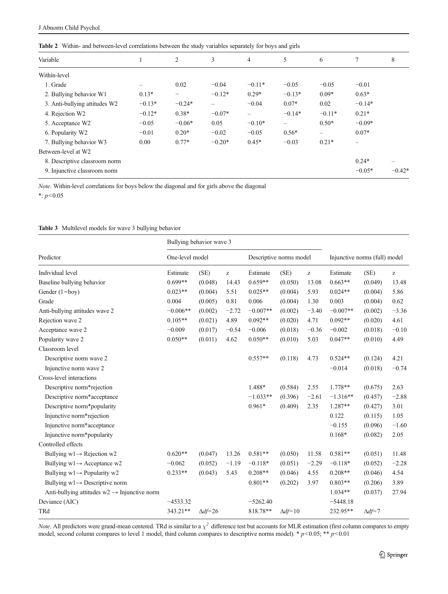<span id="page-6-0"></span>

| J Abnorm Child Psychol |
|------------------------|
|------------------------|

|  | <b>Table 2</b> Within- and between-level correlations between the study variables separately for boys and girls |  |  |  |  |  |  |  |  |
|--|-----------------------------------------------------------------------------------------------------------------|--|--|--|--|--|--|--|--|
|--|-----------------------------------------------------------------------------------------------------------------|--|--|--|--|--|--|--|--|

| Variable                      |          | 2        | 3        | 4                        | 5        | 6        | 7        | 8        |
|-------------------------------|----------|----------|----------|--------------------------|----------|----------|----------|----------|
| Within-level                  |          |          |          |                          |          |          |          |          |
| 1. Grade                      | $\equiv$ | 0.02     | $-0.04$  | $-0.11*$                 | $-0.05$  | $-0.05$  | $-0.01$  |          |
| 2. Bullying behavior W1       | $0.13*$  | -        | $-0.12*$ | $0.29*$                  | $-0.13*$ | $0.09*$  | $0.63*$  |          |
| 3. Anti-bullying attitudes W2 | $-0.13*$ | $-0.24*$ | $\equiv$ | $-0.04$                  | $0.07*$  | 0.02     | $-0.14*$ |          |
| 4. Rejection W2               | $-0.12*$ | $0.38*$  | $-0.07*$ | $\overline{\phantom{0}}$ | $-0.14*$ | $-0.11*$ | $0.21*$  |          |
| 5. Acceptance W2              | $-0.05$  | $-0.06*$ | 0.05     | $-0.10*$                 | -        | $0.50*$  | $-0.09*$ |          |
| 6. Popularity W2              | $-0.01$  | $0.20*$  | $-0.02$  | $-0.05$                  | $0.56*$  | -        | $0.07*$  |          |
| 7. Bullying behavior W3       | 0.00     | $0.77*$  | $-0.20*$ | $0.45*$                  | $-0.03$  | $0.21*$  | -        |          |
| Between-level at W2           |          |          |          |                          |          |          |          |          |
| 8. Descriptive classroom norm |          |          |          |                          |          |          | $0.24*$  |          |
| 9. Injunctive classroom norm  |          |          |          |                          |          |          | $-0.05*$ | $-0.42*$ |

Note. Within-level correlations for boys below the diagonal and for girls above the diagonal

 $*: p<0.05$ 

## Table 3 Multilevel models for wave 3 bullying behavior

|                                                          | Bullying behavior wave 3 |                  |         |                         |                  |                                                       |                               |                 |          |
|----------------------------------------------------------|--------------------------|------------------|---------|-------------------------|------------------|-------------------------------------------------------|-------------------------------|-----------------|----------|
| Predictor                                                | One-level model          |                  |         | Descriptive norms model |                  |                                                       | Injunctive norms (full) model |                 |          |
| Individual level                                         | Estimate                 | (SE)             | Z       | Estimate                | (SE)             | $\mathbf{Z}% ^{T}=\mathbf{Z}^{T}\times\mathbf{Z}^{T}$ | Estimate                      | (SE)            | $\rm{z}$ |
| Baseline bullying behavior                               | $0.699**$                | (0.048)          | 14.43   | $0.659**$               | (0.050)          | 13.08                                                 | $0.663**$                     | (0.049)         | 13.48    |
| Gender $(1 = boy)$                                       | $0.023**$                | (0.004)          | 5.51    | $0.025**$               | (0.004)          | 5.93                                                  | $0.024**$                     | (0.004)         | 5.86     |
| Grade                                                    | 0.004                    | (0.005)          | 0.81    | 0.006                   | (0.004)          | 1.30                                                  | 0.003                         | (0.004)         | 0.62     |
| Anti-bullying attitudes wave 2                           | $-0.006**$               | (0.002)          | $-2.72$ | $-0.007**$              | (0.002)          | $-3.40$                                               | $-0.007**$                    | (0.002)         | $-3.36$  |
| Rejection wave 2                                         | $0.105**$                | (0.021)          | 4.89    | $0.092**$               | (0.020)          | 4.71                                                  | $0.092**$                     | (0.020)         | 4.61     |
| Acceptance wave 2                                        | $-0.009$                 | (0.017)          | $-0.54$ | $-0.006$                | (0.018)          | $-0.36$                                               | $-0.002$                      | (0.018)         | $-0.10$  |
| Popularity wave 2                                        | $0.050**$                | (0.011)          | 4.62    | $0.050**$               | (0.010)          | 5.03                                                  | $0.047**$                     | (0.010)         | 4.49     |
| Classroom level                                          |                          |                  |         |                         |                  |                                                       |                               |                 |          |
| Descriptive norm wave 2                                  |                          |                  |         | $0.557**$               | (0.118)          | 4.73                                                  | $0.524**$                     | (0.124)         | 4.21     |
| Injunctive norm wave 2                                   |                          |                  |         |                         |                  |                                                       | $-0.014$                      | (0.018)         | $-0.74$  |
| Cross-level interactions                                 |                          |                  |         |                         |                  |                                                       |                               |                 |          |
| Descriptive norm*rejection                               |                          |                  |         | 1.488*                  | (0.584)          | 2.55                                                  | 1.778**                       | (0.675)         | 2.63     |
| Descriptive norm*acceptance                              |                          |                  |         | $-1.033**$              | (0.396)          | $-2.61$                                               | $-1.316**$                    | (0.457)         | $-2.88$  |
| Descriptive norm*popularity                              |                          |                  |         | $0.961*$                | (0.409)          | 2.35                                                  | $1.287**$                     | (0.427)         | 3.01     |
| Injunctive norm*rejection                                |                          |                  |         |                         |                  |                                                       | 0.122                         | (0.115)         | 1.05     |
| Injunctive norm*acceptance                               |                          |                  |         |                         |                  |                                                       | $-0.155$                      | (0.096)         | $-1.60$  |
| Injunctive norm*popularity                               |                          |                  |         |                         |                  |                                                       | $0.168*$                      | (0.082)         | 2.05     |
| Controlled effects                                       |                          |                  |         |                         |                  |                                                       |                               |                 |          |
| Bullying $w1 \rightarrow$ Rejection $w2$                 | $0.620**$                | (0.047)          | 13.26   | $0.581**$               | (0.050)          | 11.58                                                 | $0.581**$                     | (0.051)         | 11.48    |
| Bullying $w1 \rightarrow$ Acceptance w2                  | $-0.062$                 | (0.052)          | $-1.19$ | $-0.118*$               | (0.051)          | $-2.29$                                               | $-0.118*$                     | (0.052)         | $-2.28$  |
| Bullying $w1 \rightarrow$ Popularity $w2$                | $0.233**$                | (0.043)          | 5.43    | $0.208**$               | (0.046)          | 4.55                                                  | $0.208**$                     | (0.046)         | 4.54     |
| Bullying $w1 \rightarrow$ Descriptive norm               |                          |                  |         | $0.801**$               | (0.202)          | 3.97                                                  | $0.803**$                     | (0.206)         | 3.89     |
| Anti-bullying attitudes $w2 \rightarrow$ Injunctive norm |                          |                  |         |                         |                  |                                                       | $1.034**$                     | (0.037)         | 27.94    |
| Deviance (AIC)                                           | $-4533.32$               |                  |         | $-5262.40$              |                  |                                                       | $-5448.18$                    |                 |          |
| TRd                                                      | 343.21**                 | $\Delta df = 26$ |         | 818.78**                | $\Delta df = 10$ |                                                       | 232.95**                      | $\Delta df = 7$ |          |

*Note.* All predictors were grand-mean centered. TRd is similar to a  $\chi^2$  difference test but accounts for MLR estimation (first column compares to empty model, second column compares to level 1 model, third column compares to descriptive norms model). \*  $p<0.05$ ; \* \*  $p<0.01$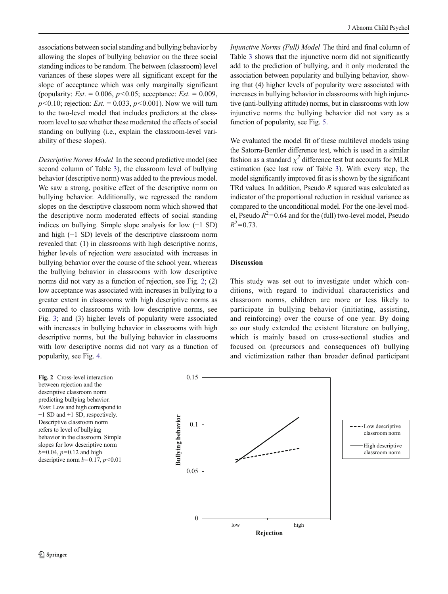associations between social standing and bullying behavior by allowing the slopes of bullying behavior on the three social standing indices to be random. The between (classroom) level variances of these slopes were all significant except for the slope of acceptance which was only marginally significant (popularity: *Est.* = 0.006,  $p$ <0.05; acceptance: *Est.* = 0.009,  $p$  < 0.10; rejection: *Est.* = 0.033,  $p$  < 0.001). Now we will turn to the two-level model that includes predictors at the classroom level to see whether these moderated the effects of social standing on bullying (i.e., explain the classroom-level variability of these slopes).

Descriptive Norms Model In the second predictive model (see second column of Table [3\)](#page-6-0), the classroom level of bullying behavior (descriptive norm) was added to the previous model. We saw a strong, positive effect of the descriptive norm on bullying behavior. Additionally, we regressed the random slopes on the descriptive classroom norm which showed that the descriptive norm moderated effects of social standing indices on bullying. Simple slope analysis for low (−1 SD) and high (+1 SD) levels of the descriptive classroom norm revealed that: (1) in classrooms with high descriptive norms, higher levels of rejection were associated with increases in bullying behavior over the course of the school year, whereas the bullying behavior in classrooms with low descriptive norms did not vary as a function of rejection, see Fig. 2; (2) low acceptance was associated with increases in bullying to a greater extent in classrooms with high descriptive norms as compared to classrooms with low descriptive norms, see Fig. [3](#page-8-0); and (3) higher levels of popularity were associated with increases in bullying behavior in classrooms with high descriptive norms, but the bullying behavior in classrooms with low descriptive norms did not vary as a function of popularity, see Fig. [4](#page-8-0).

J Abnorm Child Psychol

Injunctive Norms (Full) Model The third and final column of Table [3](#page-6-0) shows that the injunctive norm did not significantly add to the prediction of bullying, and it only moderated the association between popularity and bullying behavior, showing that (4) higher levels of popularity were associated with increases in bullying behavior in classrooms with high injunctive (anti-bullying attitude) norms, but in classrooms with low injunctive norms the bullying behavior did not vary as a function of popularity, see Fig. [5.](#page-9-0)

We evaluated the model fit of these multilevel models using the Satorra-Bentler difference test, which is used in a similar fashion as a standard  $\chi^2$  difference test but accounts for MLR estimation (see last row of Table [3\)](#page-6-0). With every step, the model significantly improved fit as is shown by the significant TRd values. In addition, Pseudo R squared was calculated as indicator of the proportional reduction in residual variance as compared to the unconditional model. For the one-level model, Pseudo  $R^2$ =0.64 and for the (full) two-level model, Pseudo  $R^2 = 0.73$ .

#### Discussion

This study was set out to investigate under which conditions, with regard to individual characteristics and classroom norms, children are more or less likely to participate in bullying behavior (initiating, assisting, and reinforcing) over the course of one year. By doing so our study extended the existent literature on bullying, which is mainly based on cross-sectional studies and focused on (precursors and consequences of) bullying and victimization rather than broader defined participant

Fig. 2 Cross-level interaction between rejection and the descriptive classroom norm predicting bullying behavior. Note: Low and high correspond to −1 SD and +1 SD, respectively. Descriptive classroom norm refers to level of bullying behavior in the classroom. Simple slopes for low descriptive norm  $b=0.04$ ,  $p=0.12$  and high descriptive norm  $b=0.17$ ,  $p<0.01$ 

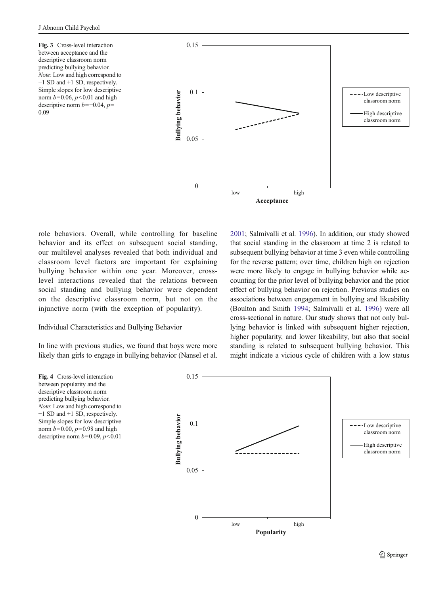<span id="page-8-0"></span>Fig. 3 Cross-level interaction between acceptance and the descriptive classroom norm predicting bullying behavior. Note: Low and high correspond to −1 SD and +1 SD, respectively. Simple slopes for low descriptive norm  $b=0.06$ ,  $p<0.01$  and high descriptive norm  $b=-0.04$ ,  $p=$ 0.09



role behaviors. Overall, while controlling for baseline behavior and its effect on subsequent social standing, our multilevel analyses revealed that both individual and classroom level factors are important for explaining bullying behavior within one year. Moreover, crosslevel interactions revealed that the relations between social standing and bullying behavior were dependent on the descriptive classroom norm, but not on the injunctive norm (with the exception of popularity).

## Individual Characteristics and Bullying Behavior

In line with previous studies, we found that boys were more likely than girls to engage in bullying behavior (Nansel et al.

[2001;](#page-11-0) Salmivalli et al. [1996\)](#page-12-0). In addition, our study showed that social standing in the classroom at time 2 is related to subsequent bullying behavior at time 3 even while controlling for the reverse pattern; over time, children high on rejection were more likely to engage in bullying behavior while accounting for the prior level of bullying behavior and the prior effect of bullying behavior on rejection. Previous studies on associations between engagement in bullying and likeability (Boulton and Smith [1994;](#page-11-0) Salmivalli et al. [1996](#page-12-0)) were all cross-sectional in nature. Our study shows that not only bullying behavior is linked with subsequent higher rejection, higher popularity, and lower likeability, but also that social standing is related to subsequent bullying behavior. This might indicate a vicious cycle of children with a low status

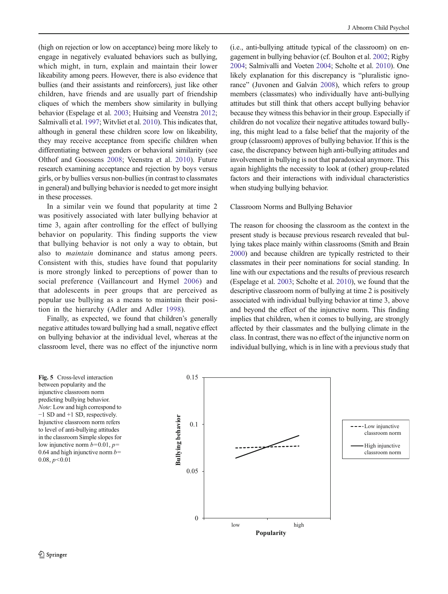<span id="page-9-0"></span>(high on rejection or low on acceptance) being more likely to engage in negatively evaluated behaviors such as bullying, which might, in turn, explain and maintain their lower likeability among peers. However, there is also evidence that bullies (and their assistants and reinforcers), just like other children, have friends and are usually part of friendship cliques of which the members show similarity in bullying behavior (Espelage et al. [2003](#page-11-0); Huitsing and Veenstra [2012](#page-11-0); Salmivalli et al. [1997](#page-12-0); Witvliet et al. [2010](#page-12-0)). This indicates that, although in general these children score low on likeability, they may receive acceptance from specific children when differentiating between genders or behavioral similarity (see Olthof and Goossens [2008](#page-11-0); Veenstra et al. [2010](#page-12-0)). Future research examining acceptance and rejection by boys versus girls, or by bullies versus non-bullies (in contrast to classmates in general) and bullying behavior is needed to get more insight in these processes.

In a similar vein we found that popularity at time 2 was positively associated with later bullying behavior at time 3, again after controlling for the effect of bullying behavior on popularity. This finding supports the view that bullying behavior is not only a way to obtain, but also to maintain dominance and status among peers. Consistent with this, studies have found that popularity is more strongly linked to perceptions of power than to social preference (Vaillancourt and Hymel [2006](#page-12-0)) and that adolescents in peer groups that are perceived as popular use bullying as a means to maintain their position in the hierarchy (Adler and Adler [1998\)](#page-11-0).

Finally, as expected, we found that children's generally negative attitudes toward bullying had a small, negative effect on bullying behavior at the individual level, whereas at the classroom level, there was no effect of the injunctive norm (i.e., anti-bullying attitude typical of the classroom) on engagement in bullying behavior (cf. Boulton et al. [2002](#page-11-0); Rigby [2004;](#page-11-0) Salmivalli and Voeten [2004](#page-12-0); Scholte et al. [2010](#page-12-0)). One likely explanation for this discrepancy is "pluralistic ignorance" (Juvonen and Galván [2008\)](#page-11-0), which refers to group members (classmates) who individually have anti-bullying attitudes but still think that others accept bullying behavior because they witness this behavior in their group. Especially if children do not vocalize their negative attitudes toward bullying, this might lead to a false belief that the majority of the group (classroom) approves of bullying behavior. If this is the case, the discrepancy between high anti-bullying attitudes and involvement in bullying is not that paradoxical anymore. This again highlights the necessity to look at (other) group-related factors and their interactions with individual characteristics when studying bullying behavior.

## Classroom Norms and Bullying Behavior

The reason for choosing the classroom as the context in the present study is because previous research revealed that bullying takes place mainly within classrooms (Smith and Brain [2000\)](#page-12-0) and because children are typically restricted to their classmates in their peer nominations for social standing. In line with our expectations and the results of previous research (Espelage et al. [2003](#page-11-0); Scholte et al. [2010](#page-12-0)), we found that the descriptive classroom norm of bullying at time 2 is positively associated with individual bullying behavior at time 3, above and beyond the effect of the injunctive norm. This finding implies that children, when it comes to bullying, are strongly affected by their classmates and the bullying climate in the class. In contrast, there was no effect of the injunctive norm on individual bullying, which is in line with a previous study that



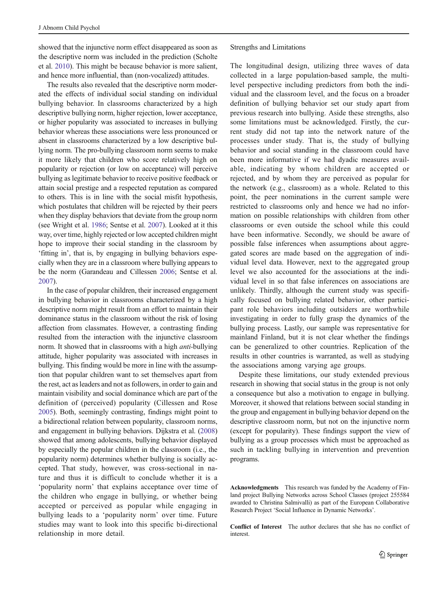showed that the injunctive norm effect disappeared as soon as the descriptive norm was included in the prediction (Scholte et al. [2010\)](#page-12-0). This might be because behavior is more salient, and hence more influential, than (non-vocalized) attitudes.

The results also revealed that the descriptive norm moderated the effects of individual social standing on individual bullying behavior. In classrooms characterized by a high descriptive bullying norm, higher rejection, lower acceptance, or higher popularity was associated to increases in bullying behavior whereas these associations were less pronounced or absent in classrooms characterized by a low descriptive bullying norm. The pro-bullying classroom norm seems to make it more likely that children who score relatively high on popularity or rejection (or low on acceptance) will perceive bullying as legitimate behavior to receive positive feedback or attain social prestige and a respected reputation as compared to others. This is in line with the social misfit hypothesis, which postulates that children will be rejected by their peers when they display behaviors that deviate from the group norm (see Wright et al. [1986;](#page-12-0) Sentse et al. [2007](#page-12-0)). Looked at it this way, over time, highly rejected or low accepted children might hope to improve their social standing in the classroom by 'fitting in', that is, by engaging in bullying behaviors especially when they are in a classroom where bullying appears to be the norm (Garandeau and Cillessen [2006](#page-11-0); Sentse et al. [2007\)](#page-12-0).

In the case of popular children, their increased engagement in bullying behavior in classrooms characterized by a high descriptive norm might result from an effort to maintain their dominance status in the classroom without the risk of losing affection from classmates. However, a contrasting finding resulted from the interaction with the injunctive classroom norm. It showed that in classrooms with a high anti-bullying attitude, higher popularity was associated with increases in bullying. This finding would be more in line with the assumption that popular children want to set themselves apart from the rest, act as leaders and not as followers, in order to gain and maintain visibility and social dominance which are part of the definition of (perceived) popularity (Cillessen and Rose [2005\)](#page-11-0). Both, seemingly contrasting, findings might point to a bidirectional relation between popularity, classroom norms, and engagement in bullying behaviors. Dijkstra et al. [\(2008\)](#page-11-0) showed that among adolescents, bullying behavior displayed by especially the popular children in the classroom (i.e., the popularity norm) determines whether bullying is socially accepted. That study, however, was cross-sectional in nature and thus it is difficult to conclude whether it is a 'popularity norm' that explains acceptance over time of the children who engage in bullying, or whether being accepted or perceived as popular while engaging in bullying leads to a 'popularity norm' over time. Future studies may want to look into this specific bi-directional relationship in more detail.

Strengths and Limitations

The longitudinal design, utilizing three waves of data collected in a large population-based sample, the multilevel perspective including predictors from both the individual and the classroom level, and the focus on a broader definition of bullying behavior set our study apart from previous research into bullying. Aside these strengths, also some limitations must be acknowledged. Firstly, the current study did not tap into the network nature of the processes under study. That is, the study of bullying behavior and social standing in the classroom could have been more informative if we had dyadic measures available, indicating by whom children are accepted or rejected, and by whom they are perceived as popular for the network (e.g., classroom) as a whole. Related to this point, the peer nominations in the current sample were restricted to classrooms only and hence we had no information on possible relationships with children from other classrooms or even outside the school while this could have been informative. Secondly, we should be aware of possible false inferences when assumptions about aggregated scores are made based on the aggregation of individual level data. However, next to the aggregated group level we also accounted for the associations at the individual level in so that false inferences on associations are unlikely. Thirdly, although the current study was specifically focused on bullying related behavior, other participant role behaviors including outsiders are worthwhile investigating in order to fully grasp the dynamics of the bullying process. Lastly, our sample was representative for mainland Finland, but it is not clear whether the findings can be generalized to other countries. Replication of the results in other countries is warranted, as well as studying the associations among varying age groups.

Despite these limitations, our study extended previous research in showing that social status in the group is not only a consequence but also a motivation to engage in bullying. Moreover, it showed that relations between social standing in the group and engagement in bullying behavior depend on the descriptive classroom norm, but not on the injunctive norm (except for popularity). These findings support the view of bullying as a group processes which must be approached as such in tackling bullying in intervention and prevention programs.

Acknowledgments This research was funded by the Academy of Finland project Bullying Networks across School Classes (project 255584 awarded to Christina Salmivalli) as part of the European Collaborative Research Project 'Social Influence in Dynamic Networks'.

Conflict of Interest The author declares that she has no conflict of interest.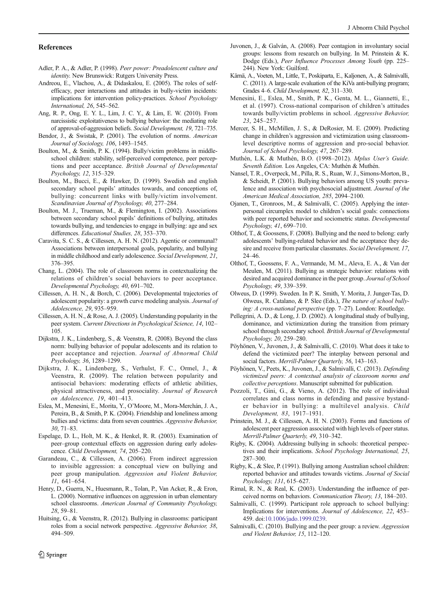#### <span id="page-11-0"></span>References

- Adler, P. A., & Adler, P. (1998). Peer power: Preadolescent culture and identity. New Brunswick: Rutgers University Press.
- Andreou, E., Vlachou, A., & Didaskalou, E. (2005). The roles of selfefficacy, peer interactions and attitudes in bully-victim incidents: implications for intervention policy-practices. School Psychology International, 26, 545–562.
- Ang, R. P., Ong, E. Y. L., Lim, J. C. Y., & Lim, E. W. (2010). From narcissistic exploitativeness to bullying behavior: the mediating role of approval-of-aggression beliefs. Social Development, 19, 721–735.
- Bendor, J., & Swistak, P. (2001). The evolution of norms. American Journal of Sociology, 106, 1493–1545.
- Boulton, M., & Smith, P. K. (1994). Bully/victim problems in middleschool children: stability, self-perceived competence, peer perceptions and peer acceptance. British Journal of Developmental Psychology, 12, 315–329.
- Boulton, M., Bucci, E., & Hawker, D. (1999). Swedish and english secondary school pupils' attitudes towards, and conceptions of, bullying: concurrent links with bully/victim involvement. Scandinavian Journal of Psychology, 40, 277–284.
- Boulton, M. J., Trueman, M., & Flemington, I. (2002). Associations between secondary school pupils' definitions of bullying, attitudes towards bullying, and tendencies to engage in bullying: age and sex differences. Educational Studies, 28, 353–370.
- Caravita, S. C. S., & Cillessen, A. H. N. (2012). Agentic or communal? Associations between interpersonal goals, popularity, and bullying in middle childhood and early adolescence. Social Development, 21, 376–395.
- Chang, L. (2004). The role of classroom norms in contextualizing the relations of children's social behaviors to peer acceptance. Developmental Psychology, 40, 691–702.
- Cillessen, A. H. N., & Borch, C. (2006). Developmental trajectories of adolescent popularity: a growth curve modeling analysis. Journal of Adolescence, 29, 935–959.
- Cillessen, A. H. N., & Rose, A. J. (2005). Understanding popularity in the peer system. Current Directions in Psychological Science, 14, 102– 105.
- Dijkstra, J. K., Lindenberg, S., & Veenstra, R. (2008). Beyond the class norm: bullying behavior of popular adolescents and its relation to peer acceptance and rejection. Journal of Abnormal Child Psychology, 36, 1289–1299.
- Dijkstra, J. K., Lindenberg, S., Verhulst, F. C., Ormel, J., & Veenstra, R. (2009). The relation between popularity and antisocial behaviors: moderating effects of athletic abilities, physical attractiveness, and prosociality. Journal of Research on Adolescence, 19, 401–413.
- Eslea, M., Menesini, E., Morita, Y., O'Moore, M., Mora-Merchán, J. A., Pereira, B., & Smith, P. K. (2004). Friendship and loneliness among bullies and victims: data from seven countries. Aggressive Behavior, 30, 71–83.
- Espelage, D. L., Holt, M. K., & Henkel, R. R. (2003). Examination of peer–group contextual effects on aggression during early adolescence. Child Development, 74, 205–220.
- Garandeau, C., & Cillessen, A. (2006). From indirect aggression to invisible aggression: a conceptual view on bullying and peer group manipulation. Aggression and Violent Behavior, 11, 641–654.
- Henry, D., Guerra, N., Huesmann, R., Tolan, P., Van Acker, R., & Eron, L. (2000). Normative influences on aggression in urban elementary school classrooms. American Journal of Community Psychology, 28, 59–81.
- Huitsing, G., & Veenstra, R. (2012). Bullying in classrooms: participant roles from a social network perspective. Aggressive Behavior, 38, 494–509.
- Juvonen, J., & Galván, A. (2008). Peer contagion in involuntary social groups: lessons from research on bullying. In M. Prinstein & K. Dodge (Eds.), Peer Influence Processes Among Youth (pp. 225– 244). New York: Guilford.
- Kärnä, A., Voeten, M., Little, T., Poskiparta, E., Kaljonen, A., & Salmivalli, C. (2011). A large-scale evaluation of the KiVa anti-bullying program; Grades 4–6. Child Development, 82, 311–330.
- Menesini, E., Eslea, M., Smith, P. K., Genta, M. L., Giannetti, E., et al. (1997). Cross-national comparison of children's attitudes towards bully/victim problems in school. Aggressive Behavior, 23, 245–257.
- Mercer, S. H., McMillen, J. S., & DeRosier, M. E. (2009). Predicting change in children's aggression and victimization using classroomlevel descriptive norms of aggression and pro-social behavior. Journal of School Psychology, 47, 267–289.
- Muthén, L.K. & Muthén, B.O. (1998–2012). Mplus User's Guide. Seventh Edition. Los Angeles, CA: Muthén & Muthén.
- Nansel, T. R., Overpeck, M., Pilla, R. S., Ruan, W. J., Simons-Morton, B., & Scheidt, P. (2001). Bullying behaviors among US youth: prevalence and association with psychosocial adjustment. Journal of the American Medical Association, 285, 2094–2100.
- Ojanen, T., Gronroos, M., & Salmivalli, C. (2005). Applying the interpersonal circumplex model to children's social goals: connections with peer reported behavior and sociometric status. Developmental Psychology, 41, 699–710.
- Olthof, T., & Goossens, F. (2008). Bullying and the need to belong: early adolescents' bullying-related behavior and the acceptance they desire and receive from particular classmates. Social Development, 17, 24–46.
- Olthof, T., Goossens, F. A., Vermande, M. M., Aleva, E. A., & Van der Meulen, M. (2011). Bullying as strategic behavior: relations with desired and acquired dominance in the peer group. Journal of School Psychology, 49, 339–359.
- Olweus, D. (1999). Sweden. In P. K. Smith, Y. Morita, J. Junger-Tas, D. Olweus, R. Catalano, & P. Slee (Eds.), The nature of school bullying: A cross-national perspective (pp. 7–27). London: Routledge.
- Pellegrini, A. D., & Long, J. D. (2002). A longitudinal study of bullying, dominance, and victimization during the transition from primary school through secondary school. British Journal of Developmental Psychology, 20, 259–280.
- Pöyhönen, V., Juvonen, J., & Salmivalli, C. (2010). What does it take to defend the victimized peer? The interplay between personal and social factors. Merrill-Palmer Quarterly, 56, 143–163.
- Pöyhönen, V., Peets, K., Juvonen, J., & Salmivalli, C. (2013). Defending victimized peers: A contextual analysis of classroom norms and collective perceptions. Manuscript submitted for publication.
- Pozzoli, T., Gini, G., & Vieno, A. (2012). The role of individual correlates and class norms in defending and passive bystander behavior in bullying: a multilevel analysis. Child Development, 83, 1917–1931.
- Prinstein, M. J., & Cillessen, A. H. N. (2003). Forms and functions of adolescent peer aggression associated with high levels of peer status. Merrill-Palmer Quarterly, 49, 310–342.
- Rigby, K. (2004). Addressing bullying in schools: theoretical perspectives and their implications. School Psychology International, 25, 287–300.
- Rigby, K., & Slee, P. (1991). Bullying among Australian school children: reported behavior and attitudes towards victims. Journal of Social Psychology, 131, 615–627.
- Rimal, R. N., & Real, K. (2003). Understanding the influence of perceived norms on behaviors. Communication Theory, 13, 184–203.
- Salmivalli, C. (1999). Participant role approach to school bullying: Implications for interventions. Journal of Adolescence, 22, 453– 459. doi[:10.1006/jado.1999.0239.](http://dx.doi.org/10.1006/jado.1999.0239)
- Salmivalli, C. (2010). Bullying and the peer group: a review. Aggression and Violent Behavior, 15, 112–120.